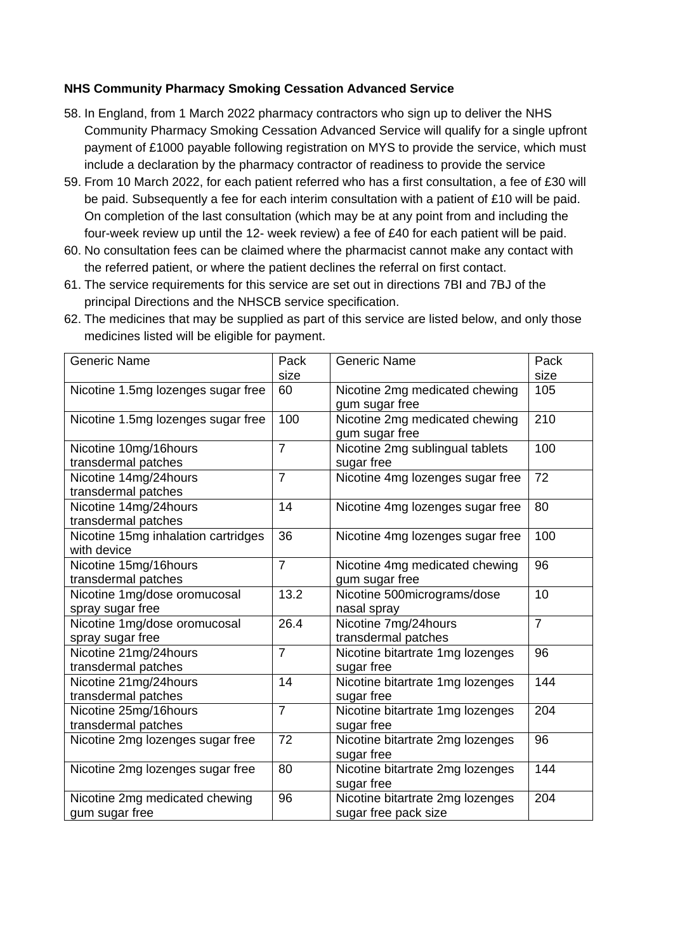## **NHS Community Pharmacy Smoking Cessation Advanced Service**

- 58. In England, from 1 March 2022 pharmacy contractors who sign up to deliver the NHS Community Pharmacy Smoking Cessation Advanced Service will qualify for a single upfront payment of £1000 payable following registration on MYS to provide the service, which must include a declaration by the pharmacy contractor of readiness to provide the service
- 59. From 10 March 2022, for each patient referred who has a first consultation, a fee of £30 will be paid. Subsequently a fee for each interim consultation with a patient of £10 will be paid. On completion of the last consultation (which may be at any point from and including the four-week review up until the 12- week review) a fee of £40 for each patient will be paid.
- 60. No consultation fees can be claimed where the pharmacist cannot make any contact with the referred patient, or where the patient declines the referral on first contact.
- 61. The service requirements for this service are set out in directions 7BI and 7BJ of the principal Directions and the NHSCB service specification.

| <b>Generic Name</b>                 | Pack           | <b>Generic Name</b>              | Pack           |
|-------------------------------------|----------------|----------------------------------|----------------|
|                                     | size           |                                  | size           |
| Nicotine 1.5mg lozenges sugar free  | 60             | Nicotine 2mg medicated chewing   | 105            |
|                                     |                | gum sugar free                   |                |
| Nicotine 1.5mg lozenges sugar free  | 100            | Nicotine 2mg medicated chewing   | 210            |
|                                     |                | gum sugar free                   |                |
| Nicotine 10mg/16hours               | $\overline{7}$ | Nicotine 2mg sublingual tablets  | 100            |
| transdermal patches                 |                | sugar free                       |                |
| Nicotine 14mg/24hours               | $\overline{7}$ | Nicotine 4mg lozenges sugar free | 72             |
| transdermal patches                 |                |                                  |                |
| Nicotine 14mg/24hours               | 14             | Nicotine 4mg lozenges sugar free | 80             |
| transdermal patches                 |                |                                  |                |
| Nicotine 15mg inhalation cartridges | 36             | Nicotine 4mg lozenges sugar free | 100            |
| with device                         |                |                                  |                |
| Nicotine 15mg/16hours               | $\overline{7}$ | Nicotine 4mg medicated chewing   | 96             |
| transdermal patches                 |                | gum sugar free                   |                |
| Nicotine 1mg/dose oromucosal        | 13.2           | Nicotine 500micrograms/dose      | 10             |
| spray sugar free                    |                | nasal spray                      |                |
| Nicotine 1mg/dose oromucosal        | 26.4           | Nicotine 7mg/24hours             | $\overline{7}$ |
| spray sugar free                    |                | transdermal patches              |                |
| Nicotine 21mg/24hours               | $\overline{7}$ | Nicotine bitartrate 1mg lozenges | 96             |
| transdermal patches                 |                | sugar free                       |                |
| Nicotine 21mg/24hours               | 14             | Nicotine bitartrate 1mg lozenges | 144            |
| transdermal patches                 |                | sugar free                       |                |
| Nicotine 25mg/16hours               | $\overline{7}$ | Nicotine bitartrate 1mg lozenges | 204            |
| transdermal patches                 |                | sugar free                       |                |
| Nicotine 2mg lozenges sugar free    | 72             | Nicotine bitartrate 2mg lozenges | 96             |
|                                     |                | sugar free                       |                |
| Nicotine 2mg lozenges sugar free    | 80             | Nicotine bitartrate 2mg lozenges | 144            |
|                                     |                | sugar free                       |                |
| Nicotine 2mg medicated chewing      | 96             | Nicotine bitartrate 2mg lozenges | 204            |
| gum sugar free                      |                | sugar free pack size             |                |

62. The medicines that may be supplied as part of this service are listed below, and only those medicines listed will be eligible for payment.